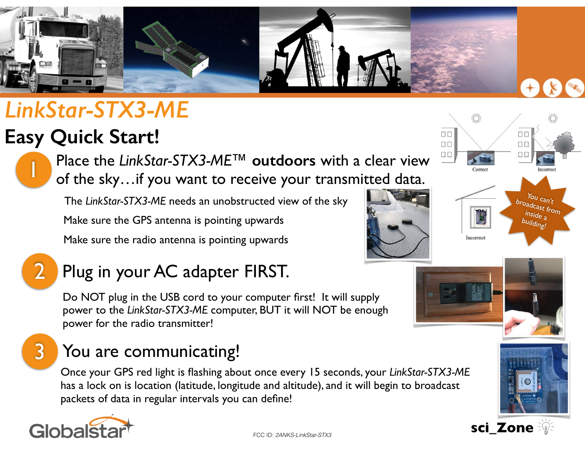

# *LinkStar-STX3-ME*

## **Easy Quick Start!**

1 Place the *LinkStar-STX3-ME™* **outdoors** with a clear view of the sky…if you want to receive your transmitted data.

The *LinkStar-STX3-ME* needs an unobstructed view of the sky Make sure the GPS antenna is pointing upwards

Make sure the radio antenna is pointing upwards



## Plug in your AC adapter FIRST.

Do NOT plug in the USB cord to your computer first! It will supply power to the *LinkStar-STX3-ME* computer, BUT it will NOT be enough power for the radio transmitter!

## You are communicating!

Once your GPS red light is flashing about once every 15 seconds, your *LinkStar-STX3-ME* has a lock on is location (latitude, longitude and altitude), and it will begin to broadcast packets of data in regular intervals you can define!